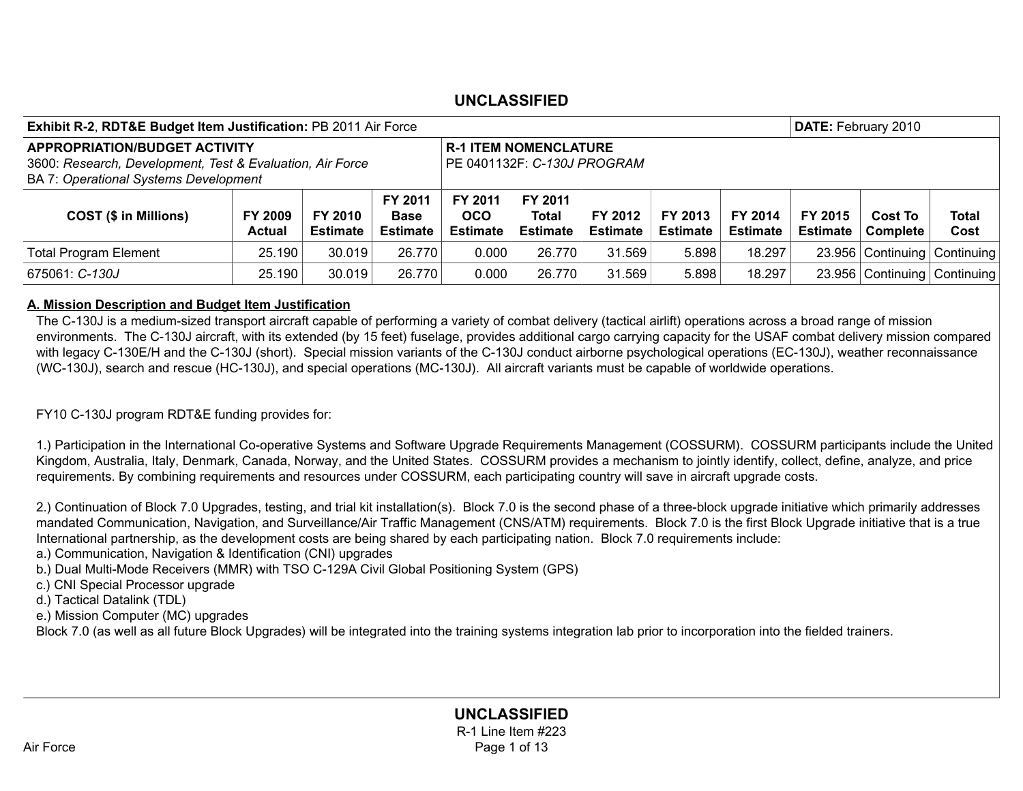| <b>Exhibit R-2, RDT&amp;E Budget Item Justification: PB 2011 Air Force</b>                                                                        |                                 |                            |                                           |                                                             |                                            |                            | DATE: February 2010        |                            |                            |                                   |               |
|---------------------------------------------------------------------------------------------------------------------------------------------------|---------------------------------|----------------------------|-------------------------------------------|-------------------------------------------------------------|--------------------------------------------|----------------------------|----------------------------|----------------------------|----------------------------|-----------------------------------|---------------|
| <b>APPROPRIATION/BUDGET ACTIVITY</b><br>3600: Research, Development, Test & Evaluation, Air Force<br><b>BA 7: Operational Systems Development</b> |                                 |                            |                                           | <b>R-1 ITEM NOMENCLATURE</b><br>PE 0401132F: C-130J PROGRAM |                                            |                            |                            |                            |                            |                                   |               |
| <b>COST (\$ in Millions)</b>                                                                                                                      | <b>FY 2009</b><br><b>Actual</b> | FY 2010<br><b>Estimate</b> | FY 2011<br><b>Base</b><br><b>Estimate</b> | FY 2011<br><b>OCO</b><br><b>Estimate</b>                    | FY 2011<br><b>Total</b><br><b>Estimate</b> | FY 2012<br><b>Estimate</b> | FY 2013<br><b>Estimate</b> | FY 2014<br><b>Estimate</b> | FY 2015<br><b>Estimate</b> | <b>Cost To</b><br><b>Complete</b> | Total<br>Cost |
| <b>Total Program Element</b>                                                                                                                      | 25.190                          | 30.019                     | 26.770                                    | 0.000                                                       | 26.770                                     | 31.569                     | 5.898                      | 18.297                     |                            | 23.956 Continuing Continuing      |               |
| 675061: C-130J                                                                                                                                    | 25.190                          | 30.019                     | 26.770                                    | 0.000                                                       | 26.770                                     | 31.569                     | 5.898                      | 18.297                     |                            | 23.956 Continuing Continuing      |               |

#### A. Mission Description and Budget Item Justification

The C-130J is a medium-sized transport aircraft capable of performing a variety of combat delivery (tactical airlift) operations across a broad range of mission environments. The C-130J aircraft, with its extended (by 15 feet) fuselage, provides additional cargo carrying capacity for the USAF combat delivery mission compared with legacy C-130E/H and the C-130J (short). Special mission variants of the C-130J conduct airborne psychological operations (EC-130J), weather reconnaissance (WC-130J), search and rescue (HC-130J), and special operations (MC-130J). All aircraft variants must be capable of worldwide operations.

FY10 C-130J program RDT&E funding provides for:

1.) Participation in the International Co-operative Systems and Software Upgrade Requirements Management (COSSURM). COSSURM participants include the United Kingdom, Australia, Italy, Denmark, Canada, Norway, and the United States. COSSURM provides a mechanism to jointly identify, collect, define, analyze, and price requirements. By combining requirements and resources under COSSURM, each participating country will save in aircraft upgrade costs.

2.) Continuation of Block 7.0 Upgrades, testing, and trial kit installation(s). Block 7.0 is the second phase of a three-block upgrade initiative which primarily addresses mandated Communication, Navigation, and Surveillance/Air Traffic Management (CNS/ATM) requirements. Block 7.0 is the first Block Upgrade initiative that is a true International partnership, as the development costs are being shared by each participating nation. Block 7.0 requirements include:

a.) Communication, Navigation & Identification (CNI) upgrades

b.) Dual Multi-Mode Receivers (MMR) with TSO C-129A Civil Global Positioning System (GPS)

c.) CNI Special Processor upgrade

d.) Tactical Datalink (TDL)

e.) Mission Computer (MC) upgrades

Block 7.0 (as well as all future Block Upgrades) will be integrated into the training systems integration lab prior to incorporation into the fielded trainers.

UNCLASSIFIED R-1 Line Item #223 Air Force **Page 1 of 13**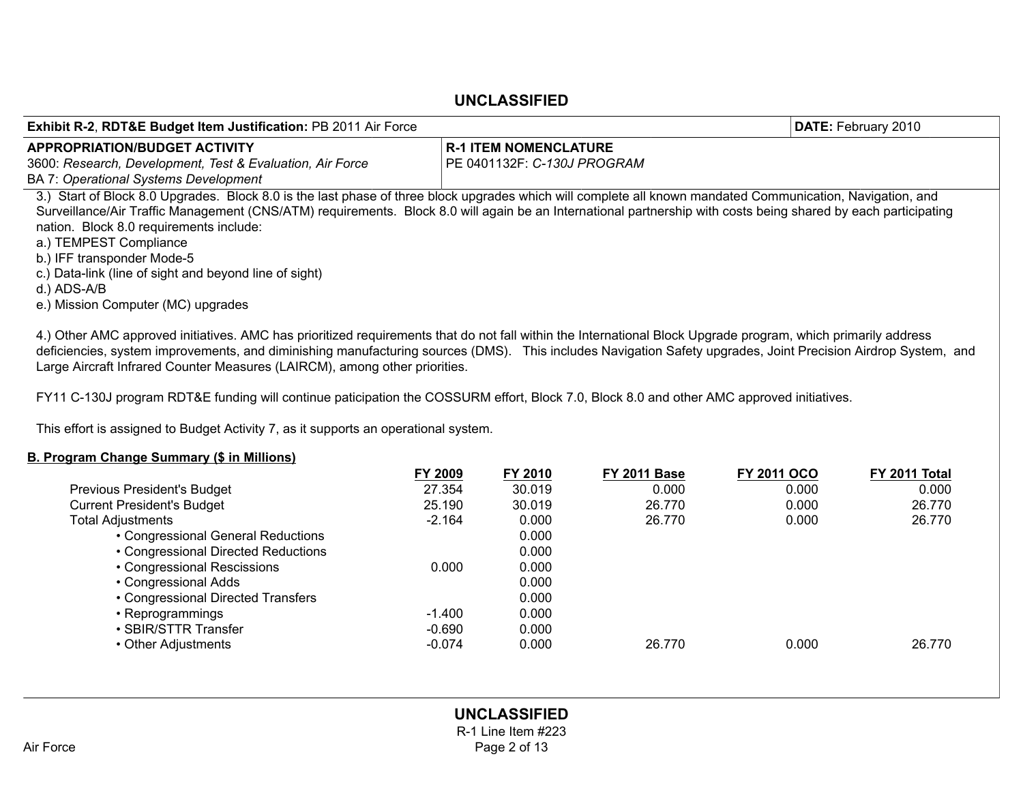| <b>Exhibit R-2, RDT&amp;E Budget Item Justification: PB 2011 Air Force</b>                                                                                                                                                                                                                                                                                                                                                                                                                                                                     |                                    | DATE: February 2010 |
|------------------------------------------------------------------------------------------------------------------------------------------------------------------------------------------------------------------------------------------------------------------------------------------------------------------------------------------------------------------------------------------------------------------------------------------------------------------------------------------------------------------------------------------------|------------------------------------|---------------------|
| <b>APPROPRIATION/BUDGET ACTIVITY</b>                                                                                                                                                                                                                                                                                                                                                                                                                                                                                                           | <b>R-1 ITEM NOMENCLATURE</b>       |                     |
| 3600: Research, Development, Test & Evaluation, Air Force<br><b>BA 7: Operational Systems Development</b>                                                                                                                                                                                                                                                                                                                                                                                                                                      | PE 0401132F: <i>C-130J PROGRAM</i> |                     |
| 3.) Start of Block 8.0 Upgrades. Block 8.0 is the last phase of three block upgrades which will complete all known mandated Communication, Navigation, and<br>Surveillance/Air Traffic Management (CNS/ATM) requirements. Block 8.0 will again be an International partnership with costs being shared by each participating<br>nation. Block 8.0 requirements include:<br>a.) TEMPEST Compliance<br>b.) IFF transponder Mode-5<br>c.) Data-link (line of sight and beyond line of sight)<br>d.) ADS-A/B<br>e.) Mission Computer (MC) upgrades |                                    |                     |
| 4.) Other AMC approved initiatives. AMC has prioritized requirements that do not fall within the International Block Upgrade program, which primarily address                                                                                                                                                                                                                                                                                                                                                                                  |                                    |                     |

deficiencies, system improvements, and diminishing manufacturing sources (DMS). This includes Navigation Safety upgrades, Joint Precision Airdrop System, and Large Aircraft Infrared Counter Measures (LAIRCM), among other priorities.

FY11 C-130J program RDT&E funding will continue paticipation the COSSURM effort, Block 7.0, Block 8.0 and other AMC approved initiatives.

This effort is assigned to Budget Activity 7, as it supports an operational system.

#### B. Program Change Summary (\$ in Millions)

|                                     | FY 2009  | FY 2010 | <b>FY 2011 Base</b> | <b>FY 2011 OCO</b> | FY 2011 Total |
|-------------------------------------|----------|---------|---------------------|--------------------|---------------|
| Previous President's Budget         | 27.354   | 30.019  | 0.000               | 0.000              | 0.000         |
| <b>Current President's Budget</b>   | 25.190   | 30.019  | 26.770              | 0.000              | 26.770        |
| <b>Total Adjustments</b>            | $-2.164$ | 0.000   | 26.770              | 0.000              | 26.770        |
| • Congressional General Reductions  |          | 0.000   |                     |                    |               |
| • Congressional Directed Reductions |          | 0.000   |                     |                    |               |
| • Congressional Rescissions         | 0.000    | 0.000   |                     |                    |               |
| • Congressional Adds                |          | 0.000   |                     |                    |               |
| • Congressional Directed Transfers  |          | 0.000   |                     |                    |               |
| • Reprogrammings                    | -1.400   | 0.000   |                     |                    |               |
| • SBIR/STTR Transfer                | $-0.690$ | 0.000   |                     |                    |               |
| • Other Adjustments                 | $-0.074$ | 0.000   | 26.770              | 0.000              | 26.770        |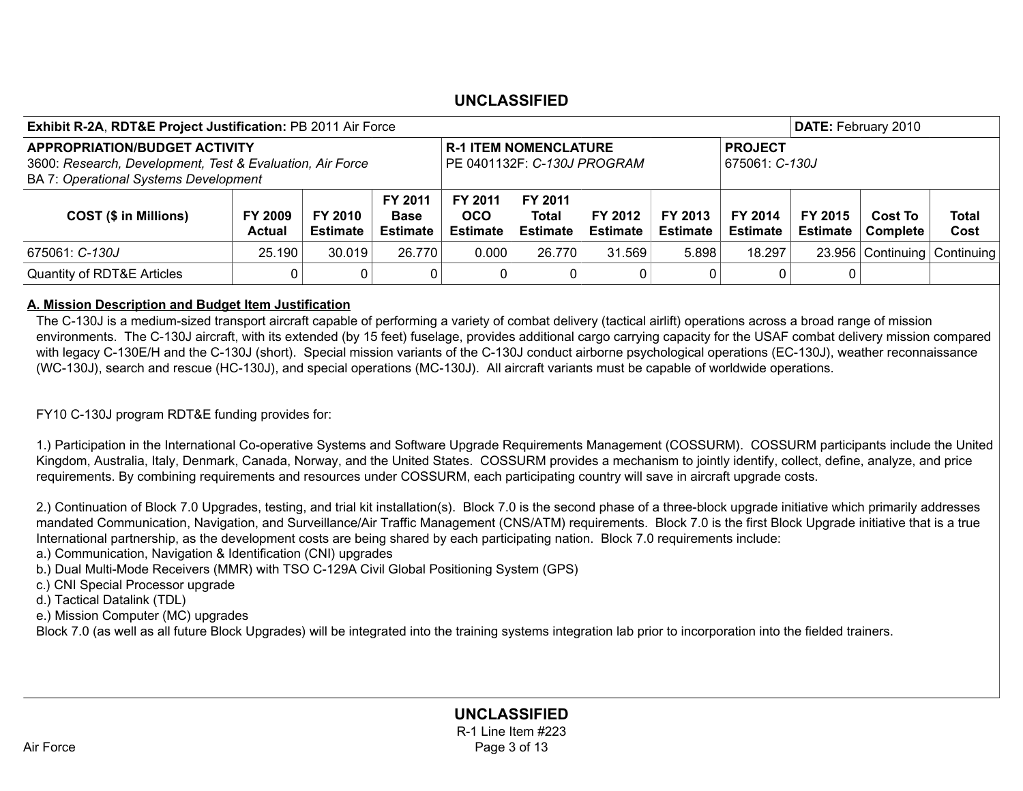| <b>Exhibit R-2A, RDT&amp;E Project Justification: PB 2011 Air Force</b>                                                                           |                          |                                                             |                                                  |                                          |                                            | DATE: February 2010        |                            |                            |                            |                              |               |
|---------------------------------------------------------------------------------------------------------------------------------------------------|--------------------------|-------------------------------------------------------------|--------------------------------------------------|------------------------------------------|--------------------------------------------|----------------------------|----------------------------|----------------------------|----------------------------|------------------------------|---------------|
| <b>APPROPRIATION/BUDGET ACTIVITY</b><br>3600: Research, Development, Test & Evaluation, Air Force<br><b>BA 7: Operational Systems Development</b> |                          | <b>R-1 ITEM NOMENCLATURE</b><br>PE 0401132F: C-130J PROGRAM |                                                  |                                          | <b>PROJECT</b><br>675061: C-130J           |                            |                            |                            |                            |                              |               |
| <b>COST (\$ in Millions)</b>                                                                                                                      | FY 2009<br><b>Actual</b> | FY 2010<br><b>Estimate</b>                                  | <b>FY 2011</b><br><b>Base</b><br><b>Estimate</b> | FY 2011<br><b>OCO</b><br><b>Estimate</b> | FY 2011<br><b>Total</b><br><b>Estimate</b> | FY 2012<br><b>Estimate</b> | FY 2013<br><b>Estimate</b> | FY 2014<br><b>Estimate</b> | FY 2015<br><b>Estimate</b> | <b>Cost To</b><br>Complete   | Total<br>Cost |
| 675061: C-130J                                                                                                                                    | 25.190                   | 30.019                                                      | 26.770                                           | 0.000                                    | 26.770                                     | 31.569                     | 5.898                      | 18.297                     |                            | 23.956 Continuing Continuing |               |
| <b>Quantity of RDT&amp;E Articles</b>                                                                                                             |                          |                                                             | 0                                                | $\mathbf{0}$                             | 0                                          | 0                          |                            | 0                          |                            |                              |               |

#### A. Mission Description and Budget Item Justification

The C-130J is a medium-sized transport aircraft capable of performing a variety of combat delivery (tactical airlift) operations across a broad range of mission environments. The C-130J aircraft, with its extended (by 15 feet) fuselage, provides additional cargo carrying capacity for the USAF combat delivery mission compared with legacy C-130E/H and the C-130J (short). Special mission variants of the C-130J conduct airborne psychological operations (EC-130J), weather reconnaissance (WC-130J), search and rescue (HC-130J), and special operations (MC-130J). All aircraft variants must be capable of worldwide operations.

FY10 C-130J program RDT&E funding provides for:

1.) Participation in the International Co-operative Systems and Software Upgrade Requirements Management (COSSURM). COSSURM participants include the United Kingdom, Australia, Italy, Denmark, Canada, Norway, and the United States. COSSURM provides a mechanism to jointly identify, collect, define, analyze, and price requirements. By combining requirements and resources under COSSURM, each participating country will save in aircraft upgrade costs.

2.) Continuation of Block 7.0 Upgrades, testing, and trial kit installation(s). Block 7.0 is the second phase of a three-block upgrade initiative which primarily addresses mandated Communication, Navigation, and Surveillance/Air Traffic Management (CNS/ATM) requirements. Block 7.0 is the first Block Upgrade initiative that is a true International partnership, as the development costs are being shared by each participating nation. Block 7.0 requirements include:

a.) Communication, Navigation & Identification (CNI) upgrades

b.) Dual Multi-Mode Receivers (MMR) with TSO C-129A Civil Global Positioning System (GPS)

c.) CNI Special Processor upgrade

d.) Tactical Datalink (TDL)

e.) Mission Computer (MC) upgrades

Block 7.0 (as well as all future Block Upgrades) will be integrated into the training systems integration lab prior to incorporation into the fielded trainers.

### UNCLASSIFIED R-1 Line Item #223 Air Force **Page 3 of 13**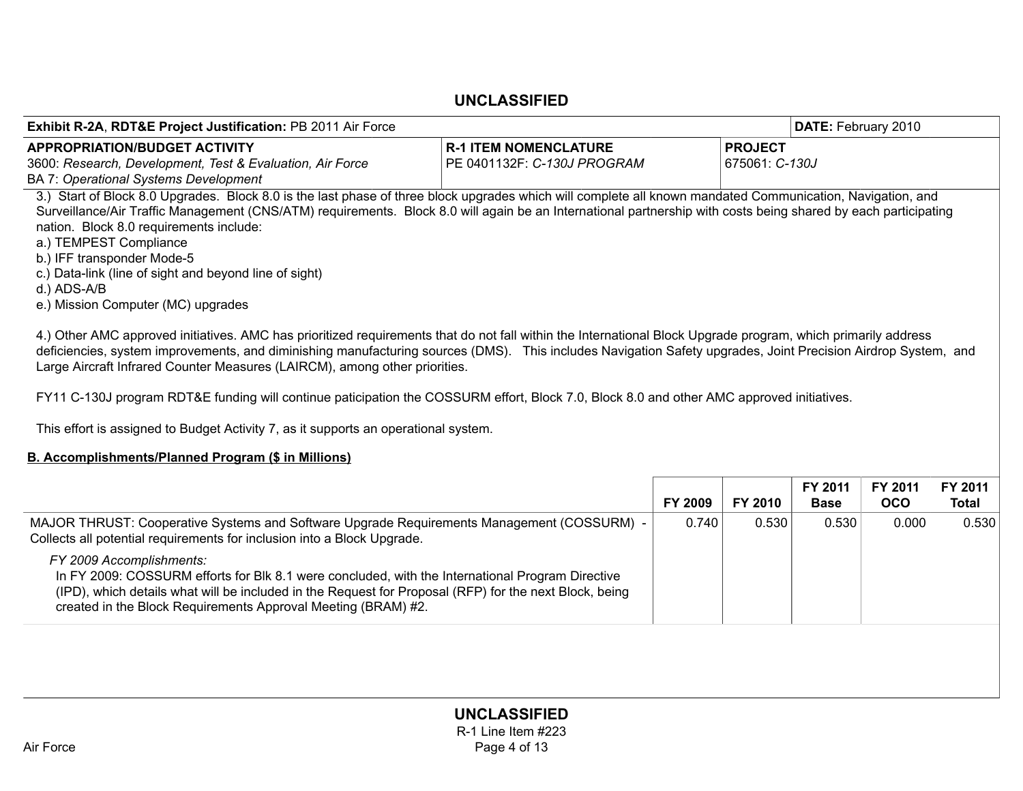| <b>Exhibit R-2A, RDT&amp;E Project Justification: PB 2011 Air Force</b>                                                                                        |                              | <b>DATE: February 2010</b> |
|----------------------------------------------------------------------------------------------------------------------------------------------------------------|------------------------------|----------------------------|
| <b>APPROPRIATION/BUDGET ACTIVITY</b>                                                                                                                           | <b>R-1 ITEM NOMENCLATURE</b> | <b>PROJECT</b>             |
| 3600: Research, Development, Test & Evaluation, Air Force                                                                                                      | PE 0401132F: C-130J PROGRAM  | 675061: C-130J             |
| <b>BA 7: Operational Systems Development</b>                                                                                                                   |                              |                            |
| 3.) Start of Block 8.0 Upgrades. Block 8.0 is the last phase of three block upgrades which will complete all known mandated Communication, Navigation, and     |                              |                            |
| Surveillance/Air Traffic Management (CNS/ATM) requirements. Block 8.0 will again be an International partnership with costs being shared by each participating |                              |                            |
| nation. Block 8.0 requirements include:                                                                                                                        |                              |                            |
| a.) TEMPEST Compliance                                                                                                                                         |                              |                            |
| b.) IFF transponder Mode-5                                                                                                                                     |                              |                            |
| c.) Data-link (line of sight and beyond line of sight)<br>d.) ADS-A/B                                                                                          |                              |                            |
| e.) Mission Computer (MC) upgrades                                                                                                                             |                              |                            |
|                                                                                                                                                                |                              |                            |
| 4.) Other AMC approved initiatives. AMC has prioritized requirements that do not fall within the International Block Upgrade program, which primarily address  |                              |                            |
| deficiencies, system improvements, and diminishing manufacturing sources (DMS). This includes Navigation Safety upgrades, Joint Precision Airdrop System, and  |                              |                            |
| Large Aircraft Infrared Counter Measures (LAIRCM), among other priorities.                                                                                     |                              |                            |
|                                                                                                                                                                |                              |                            |
| FY11 C-130J program RDT&E funding will continue paticipation the COSSURM effort, Block 7.0, Block 8.0 and other AMC approved initiatives.                      |                              |                            |
| This effort is assigned to Budget Activity 7, as it supports an operational system.                                                                            |                              |                            |
|                                                                                                                                                                |                              |                            |
| B. Accomplishments/Planned Program (\$ in Millions)                                                                                                            |                              |                            |

|                                                                                                                                                                                                                                                                                                         | <b>FY 2009</b> | FY 2010 | FY 2011<br><b>Base</b> | FY 2011<br><b>OCO</b> | FY 2011<br><b>Total</b> |
|---------------------------------------------------------------------------------------------------------------------------------------------------------------------------------------------------------------------------------------------------------------------------------------------------------|----------------|---------|------------------------|-----------------------|-------------------------|
| MAJOR THRUST: Cooperative Systems and Software Upgrade Requirements Management (COSSURM) -<br>Collects all potential requirements for inclusion into a Block Upgrade.                                                                                                                                   | 0.740          | 0.530   | 0.530                  | 0.000                 | 0.530                   |
| FY 2009 Accomplishments:<br>In FY 2009: COSSURM efforts for Blk 8.1 were concluded, with the International Program Directive<br>(IPD), which details what will be included in the Request for Proposal (RFP) for the next Block, being<br>created in the Block Requirements Approval Meeting (BRAM) #2. |                |         |                        |                       |                         |
|                                                                                                                                                                                                                                                                                                         |                |         |                        |                       |                         |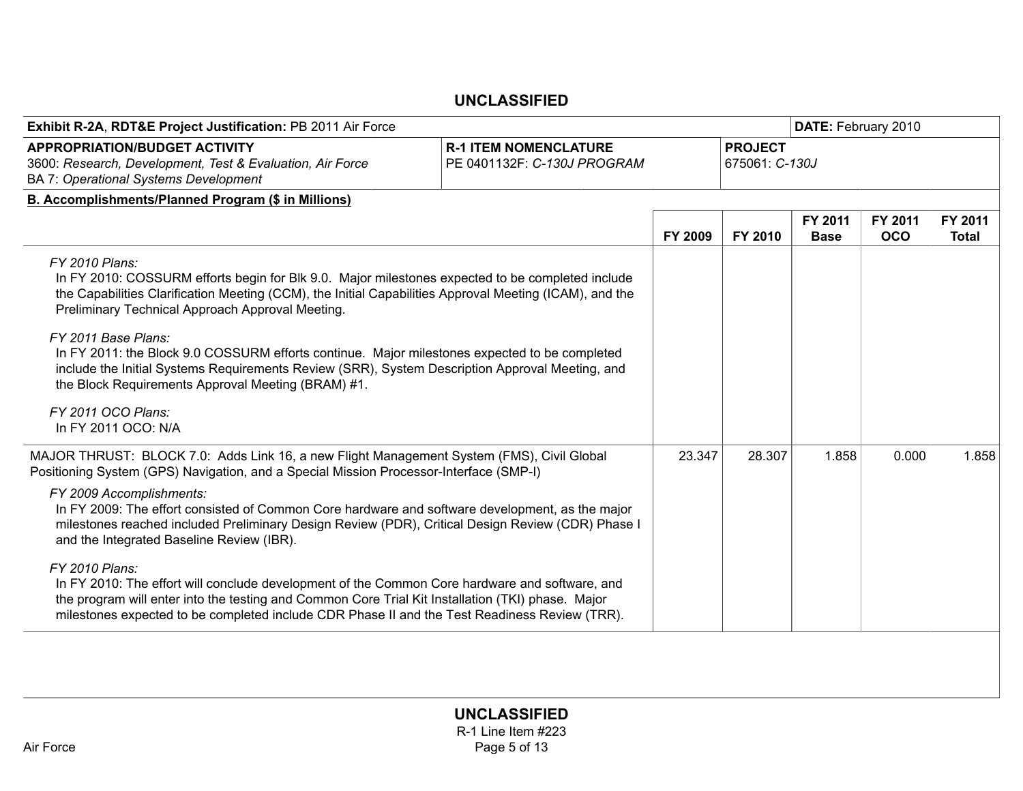| <b>R-1 ITEM NOMENCLATURE</b><br>PE 0401132F: C-130J PROGRAM | <b>PROJECT</b><br>675061: C-130J                                                                                                                                                                                                                                                                                                                                                                                                                                                                                                                                                                                                                                                                                                                                                                                                                                                                                                                                                                                             |                        |                       |                         |
|-------------------------------------------------------------|------------------------------------------------------------------------------------------------------------------------------------------------------------------------------------------------------------------------------------------------------------------------------------------------------------------------------------------------------------------------------------------------------------------------------------------------------------------------------------------------------------------------------------------------------------------------------------------------------------------------------------------------------------------------------------------------------------------------------------------------------------------------------------------------------------------------------------------------------------------------------------------------------------------------------------------------------------------------------------------------------------------------------|------------------------|-----------------------|-------------------------|
|                                                             |                                                                                                                                                                                                                                                                                                                                                                                                                                                                                                                                                                                                                                                                                                                                                                                                                                                                                                                                                                                                                              |                        |                       |                         |
|                                                             |                                                                                                                                                                                                                                                                                                                                                                                                                                                                                                                                                                                                                                                                                                                                                                                                                                                                                                                                                                                                                              |                        |                       |                         |
| FY 2009                                                     | FY 2010                                                                                                                                                                                                                                                                                                                                                                                                                                                                                                                                                                                                                                                                                                                                                                                                                                                                                                                                                                                                                      | FY 2011<br><b>Base</b> | FY 2011<br><b>OCO</b> | FY 2011<br><b>Total</b> |
|                                                             |                                                                                                                                                                                                                                                                                                                                                                                                                                                                                                                                                                                                                                                                                                                                                                                                                                                                                                                                                                                                                              |                        |                       |                         |
|                                                             | 28,307                                                                                                                                                                                                                                                                                                                                                                                                                                                                                                                                                                                                                                                                                                                                                                                                                                                                                                                                                                                                                       | 1.858                  | 0.000                 | 1.858                   |
|                                                             |                                                                                                                                                                                                                                                                                                                                                                                                                                                                                                                                                                                                                                                                                                                                                                                                                                                                                                                                                                                                                              |                        |                       |                         |
|                                                             |                                                                                                                                                                                                                                                                                                                                                                                                                                                                                                                                                                                                                                                                                                                                                                                                                                                                                                                                                                                                                              |                        |                       |                         |
|                                                             | In FY 2010: COSSURM efforts begin for Blk 9.0. Major milestones expected to be completed include<br>the Capabilities Clarification Meeting (CCM), the Initial Capabilities Approval Meeting (ICAM), and the<br>In FY 2011: the Block 9.0 COSSURM efforts continue. Major milestones expected to be completed<br>include the Initial Systems Requirements Review (SRR), System Description Approval Meeting, and<br>MAJOR THRUST: BLOCK 7.0: Adds Link 16, a new Flight Management System (FMS), Civil Global<br>In FY 2009: The effort consisted of Common Core hardware and software development, as the major<br>milestones reached included Preliminary Design Review (PDR), Critical Design Review (CDR) Phase I<br>In FY 2010: The effort will conclude development of the Common Core hardware and software, and<br>the program will enter into the testing and Common Core Trial Kit Installation (TKI) phase. Major<br>milestones expected to be completed include CDR Phase II and the Test Readiness Review (TRR). | 23.347                 |                       |                         |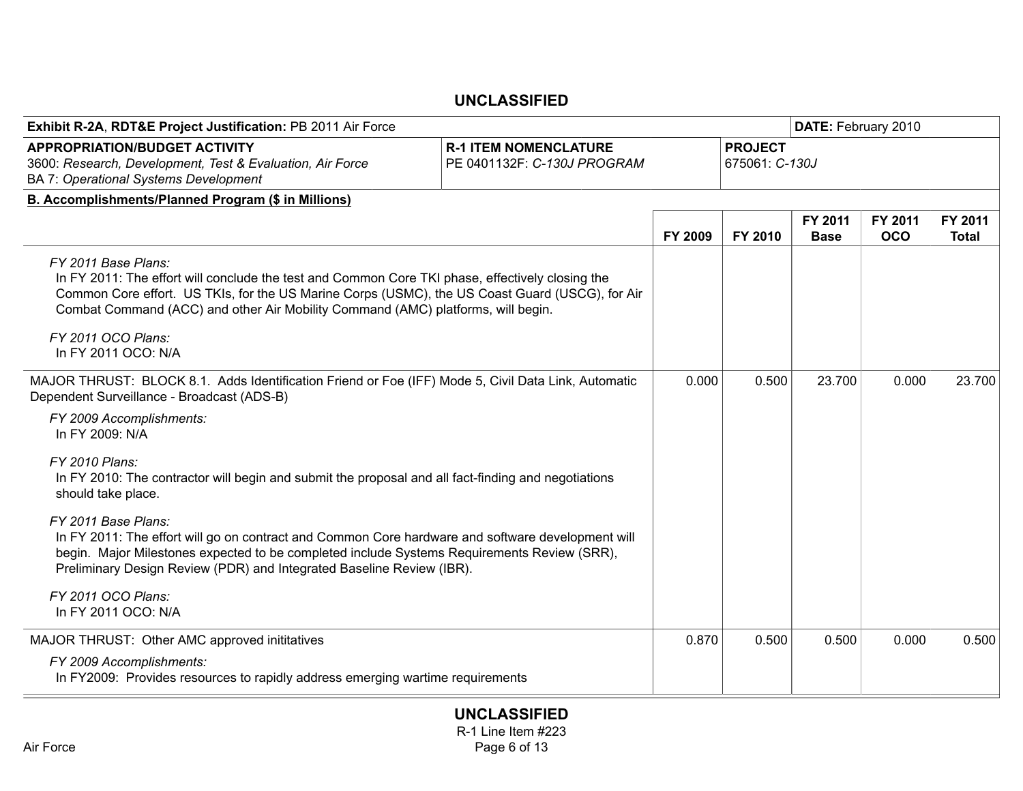| Exhibit R-2A, RDT&E Project Justification: PB 2011 Air Force                                                                                                                                                                                                                                                   |                                  |         |         | DATE: February 2010    |                       |                  |  |
|----------------------------------------------------------------------------------------------------------------------------------------------------------------------------------------------------------------------------------------------------------------------------------------------------------------|----------------------------------|---------|---------|------------------------|-----------------------|------------------|--|
| <b>APPROPRIATION/BUDGET ACTIVITY</b><br>3600: Research, Development, Test & Evaluation, Air Force<br>BA 7: Operational Systems Development                                                                                                                                                                     | <b>PROJECT</b><br>675061: C-130J |         |         |                        |                       |                  |  |
| B. Accomplishments/Planned Program (\$ in Millions)                                                                                                                                                                                                                                                            |                                  |         |         |                        |                       |                  |  |
|                                                                                                                                                                                                                                                                                                                |                                  | FY 2009 | FY 2010 | FY 2011<br><b>Base</b> | FY 2011<br><b>OCO</b> | FY 2011<br>Total |  |
| FY 2011 Base Plans:<br>In FY 2011: The effort will conclude the test and Common Core TKI phase, effectively closing the<br>Common Core effort. US TKIs, for the US Marine Corps (USMC), the US Coast Guard (USCG), for Air<br>Combat Command (ACC) and other Air Mobility Command (AMC) platforms, will begin. |                                  |         |         |                        |                       |                  |  |
| FY 2011 OCO Plans:<br>In FY 2011 OCO: N/A                                                                                                                                                                                                                                                                      |                                  |         |         |                        |                       |                  |  |
| MAJOR THRUST: BLOCK 8.1. Adds Identification Friend or Foe (IFF) Mode 5, Civil Data Link, Automatic<br>Dependent Surveillance - Broadcast (ADS-B)                                                                                                                                                              |                                  | 0.000   | 0.500   | 23.700                 | 0.000                 | 23.700           |  |
| FY 2009 Accomplishments:<br>In FY 2009: N/A                                                                                                                                                                                                                                                                    |                                  |         |         |                        |                       |                  |  |
| FY 2010 Plans:<br>In FY 2010: The contractor will begin and submit the proposal and all fact-finding and negotiations<br>should take place.                                                                                                                                                                    |                                  |         |         |                        |                       |                  |  |
| FY 2011 Base Plans:<br>In FY 2011: The effort will go on contract and Common Core hardware and software development will<br>begin. Major Milestones expected to be completed include Systems Requirements Review (SRR),<br>Preliminary Design Review (PDR) and Integrated Baseline Review (IBR).               |                                  |         |         |                        |                       |                  |  |
| FY 2011 OCO Plans:<br>In FY 2011 OCO: N/A                                                                                                                                                                                                                                                                      |                                  |         |         |                        |                       |                  |  |
| MAJOR THRUST: Other AMC approved inititatives                                                                                                                                                                                                                                                                  |                                  | 0.870   | 0.500   | 0.500                  | 0.000                 | 0.500            |  |
| FY 2009 Accomplishments:<br>In FY2009: Provides resources to rapidly address emerging wartime requirements                                                                                                                                                                                                     |                                  |         |         |                        |                       |                  |  |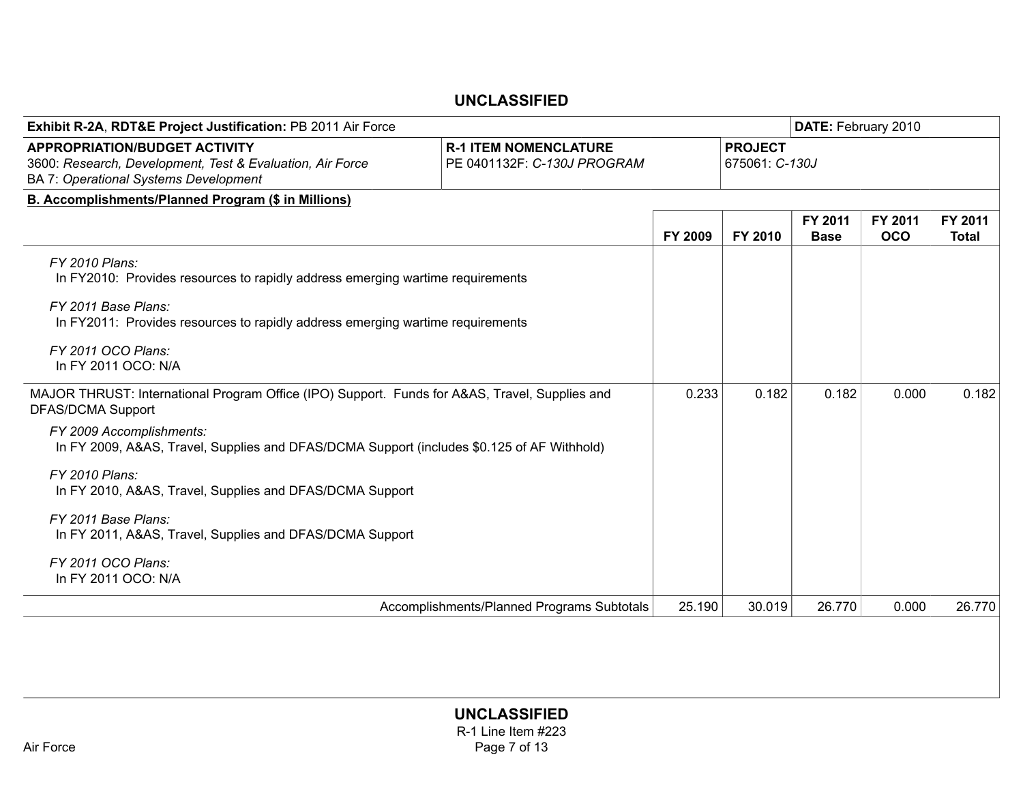| Exhibit R-2A, RDT&E Project Justification: PB 2011 Air Force                                                                                                                                                                                                                                                                                                                                                                                                       |                                                             |         |         | DATE: February 2010    |                       |                         |  |  |  |
|--------------------------------------------------------------------------------------------------------------------------------------------------------------------------------------------------------------------------------------------------------------------------------------------------------------------------------------------------------------------------------------------------------------------------------------------------------------------|-------------------------------------------------------------|---------|---------|------------------------|-----------------------|-------------------------|--|--|--|
| <b>APPROPRIATION/BUDGET ACTIVITY</b><br>3600: Research, Development, Test & Evaluation, Air Force<br>BA 7: Operational Systems Development                                                                                                                                                                                                                                                                                                                         | <b>R-1 ITEM NOMENCLATURE</b><br>PE 0401132F: C-130J PROGRAM |         |         |                        |                       |                         |  |  |  |
| B. Accomplishments/Planned Program (\$ in Millions)                                                                                                                                                                                                                                                                                                                                                                                                                |                                                             |         |         |                        |                       |                         |  |  |  |
|                                                                                                                                                                                                                                                                                                                                                                                                                                                                    |                                                             | FY 2009 | FY 2010 | FY 2011<br><b>Base</b> | FY 2011<br><b>OCO</b> | FY 2011<br><b>Total</b> |  |  |  |
| FY 2010 Plans:<br>In FY2010: Provides resources to rapidly address emerging wartime requirements<br>FY 2011 Base Plans:<br>In FY2011: Provides resources to rapidly address emerging wartime requirements<br>FY 2011 OCO Plans:<br>In FY 2011 OCO: N/A                                                                                                                                                                                                             |                                                             |         |         |                        |                       |                         |  |  |  |
| MAJOR THRUST: International Program Office (IPO) Support. Funds for A&AS, Travel, Supplies and<br><b>DFAS/DCMA Support</b><br>FY 2009 Accomplishments:<br>In FY 2009, A&AS, Travel, Supplies and DFAS/DCMA Support (includes \$0.125 of AF Withhold)<br>FY 2010 Plans:<br>In FY 2010, A&AS, Travel, Supplies and DFAS/DCMA Support<br>FY 2011 Base Plans:<br>In FY 2011, A&AS, Travel, Supplies and DFAS/DCMA Support<br>FY 2011 OCO Plans:<br>In FY 2011 OCO: N/A |                                                             | 0.233   | 0.182   | 0.182                  | 0.000                 | 0.182                   |  |  |  |
|                                                                                                                                                                                                                                                                                                                                                                                                                                                                    | Accomplishments/Planned Programs Subtotals                  | 25.190  | 30.019  | 26.770                 | 0.000                 | 26.770                  |  |  |  |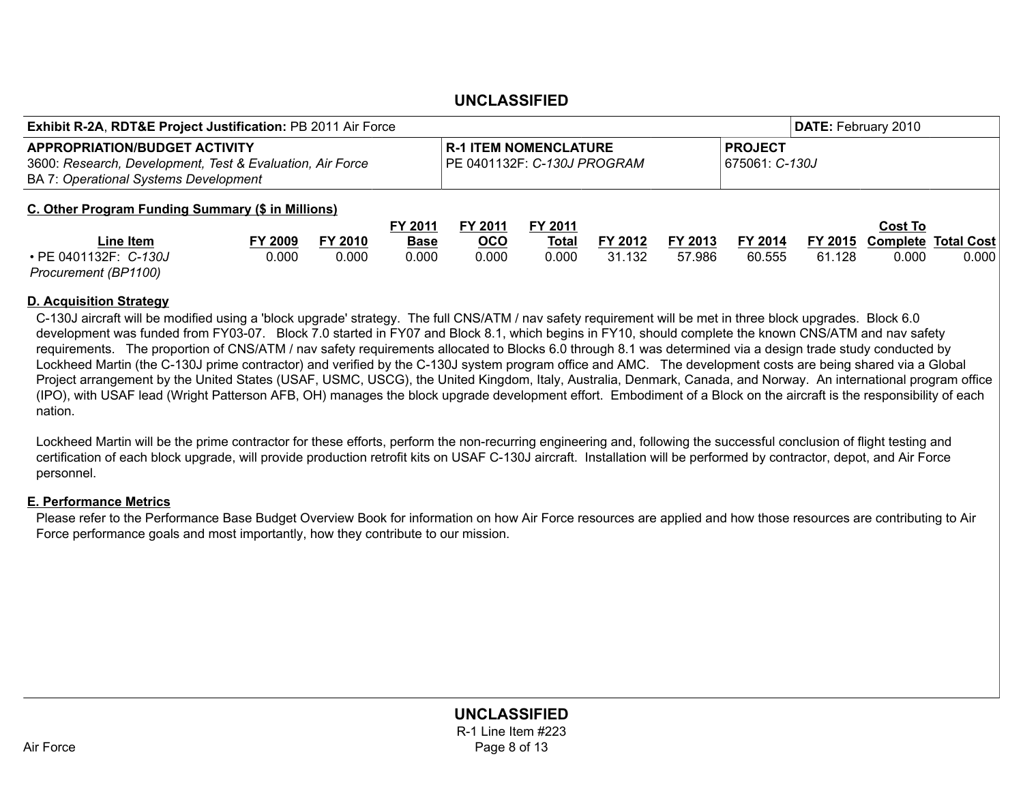| <b>Exhibit R-2A, RDT&amp;E Project Justification: PB 2011 Air Force</b>                                                                           |         |                                                             |             |            |              |                                  |         |         | DATE: February 2010 |         |                            |
|---------------------------------------------------------------------------------------------------------------------------------------------------|---------|-------------------------------------------------------------|-------------|------------|--------------|----------------------------------|---------|---------|---------------------|---------|----------------------------|
| <b>APPROPRIATION/BUDGET ACTIVITY</b><br>3600: Research, Development, Test & Evaluation, Air Force<br><b>BA 7: Operational Systems Development</b> |         | <b>R-1 ITEM NOMENCLATURE</b><br>PE 0401132F: C-130J PROGRAM |             |            |              | <b>PROJECT</b><br>675061: C-130J |         |         |                     |         |                            |
| C. Other Program Funding Summary (\$ in Millions)                                                                                                 |         |                                                             |             |            |              |                                  |         |         |                     |         |                            |
|                                                                                                                                                   |         |                                                             | FY 2011     | FY 2011    | FY 2011      |                                  |         |         |                     | Cost To |                            |
| Line Item                                                                                                                                         | FY 2009 | FY 2010                                                     | <b>Base</b> | <b>OCO</b> | <b>Total</b> | FY 2012                          | FY 2013 | FY 2014 | FY 2015             |         | <b>Complete Total Cost</b> |
| • PE 0401132F: C-130J                                                                                                                             | 0.000   | 0.000                                                       | 0.000       | 0.000      | 0.000        | 31.132                           | 57.986  | 60.555  | 61.128              | 0.000   | 0.000                      |
| Procurement (BP1100)                                                                                                                              |         |                                                             |             |            |              |                                  |         |         |                     |         |                            |

#### D. Acquisition Strategy

C-130J aircraft will be modified using a 'block upgrade' strategy. The full CNS/ATM / nav safety requirement will be met in three block upgrades. Block 6.0 development was funded from FY03-07. Block 7.0 started in FY07 and Block 8.1, which begins in FY10, should complete the known CNS/ATM and nav safety requirements. The proportion of CNS/ATM / nav safety requirements allocated to Blocks 6.0 through 8.1 was determined via a design trade study conducted by Lockheed Martin (the C-130J prime contractor) and verified by the C-130J system program office and AMC. The development costs are being shared via a Global Project arrangement by the United States (USAF, USMC, USCG), the United Kingdom, Italy, Australia, Denmark, Canada, and Norway. An international program office (IPO), with USAF lead (Wright Patterson AFB, OH) manages the block upgrade development effort. Embodiment of a Block on the aircraft is the responsibility of each nation.

Lockheed Martin will be the prime contractor for these efforts, perform the non-recurring engineering and, following the successful conclusion of flight testing and certification of each block upgrade, will provide production retrofit kits on USAF C-130J aircraft. Installation will be performed by contractor, depot, and Air Force personnel.

#### E. Performance Metrics

Please refer to the Performance Base Budget Overview Book for information on how Air Force resources are applied and how those resources are contributing to Air Force performance goals and most importantly, how they contribute to our mission.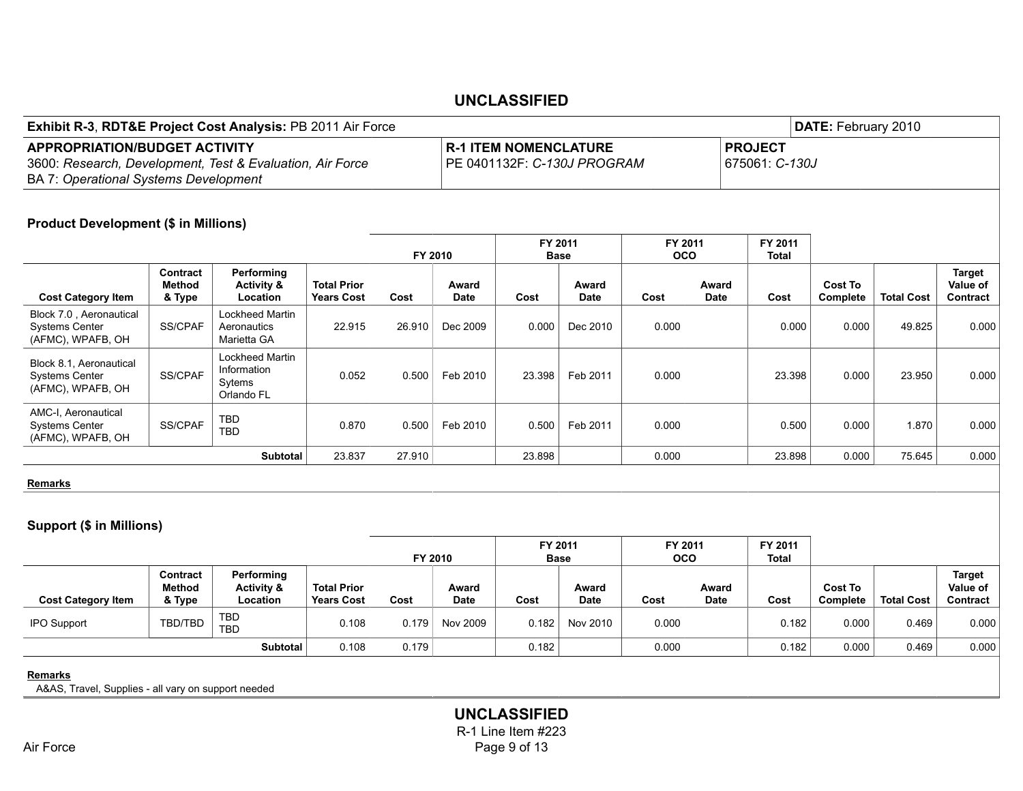| <b>Exhibit R-3, RDT&amp;E Project Cost Analysis: PB 2011 Air Force</b>                                                                            |                              |                                                        |                                         |         |                      |                              |                             |                       |                      |                                  | DATE: February 2010        |                   |                                       |
|---------------------------------------------------------------------------------------------------------------------------------------------------|------------------------------|--------------------------------------------------------|-----------------------------------------|---------|----------------------|------------------------------|-----------------------------|-----------------------|----------------------|----------------------------------|----------------------------|-------------------|---------------------------------------|
| <b>APPROPRIATION/BUDGET ACTIVITY</b><br>3600: Research, Development, Test & Evaluation, Air Force<br><b>BA 7: Operational Systems Development</b> |                              |                                                        |                                         |         |                      | <b>R-1 ITEM NOMENCLATURE</b> | PE 0401132F: C-130J PROGRAM |                       |                      | <b>PROJECT</b><br>675061: C-130J |                            |                   |                                       |
| <b>Product Development (\$ in Millions)</b>                                                                                                       |                              |                                                        |                                         | FY 2010 |                      |                              | FY 2011<br><b>Base</b>      | FY 2011<br><b>OCO</b> |                      | FY 2011<br>Total                 |                            |                   |                                       |
| <b>Cost Category Item</b>                                                                                                                         | Contract<br>Method<br>& Type | Performing<br><b>Activity &amp;</b><br>Location        | <b>Total Prior</b><br><b>Years Cost</b> | Cost    | Award<br><b>Date</b> | Cost                         | Award<br><b>Date</b>        | Cost                  | Award<br><b>Date</b> | Cost                             | <b>Cost To</b><br>Complete | <b>Total Cost</b> | Target<br>Value of<br><b>Contract</b> |
| Block 7.0, Aeronautical<br><b>Systems Center</b><br>(AFMC), WPAFB, OH                                                                             | SS/CPAF                      | Lockheed Martin<br>Aeronautics<br>Marietta GA          | 22.915                                  | 26.910  | Dec 2009             | 0.000                        | Dec 2010                    | 0.000                 |                      | 0.000                            | 0.000                      | 49.825            | 0.000                                 |
| Block 8.1, Aeronautical<br><b>Systems Center</b><br>(AFMC), WPAFB, OH                                                                             | SS/CPAF                      | Lockheed Martin<br>Information<br>Sytems<br>Orlando FL | 0.052                                   | 0.500   | Feb 2010             | 23.398                       | Feb 2011                    | 0.000                 |                      | 23.398                           | 0.000                      | 23.950            | 0.000                                 |
| AMC-I, Aeronautical<br><b>Systems Center</b><br>$(1.5110)$ $(1.151500)$                                                                           | SS/CPAF                      | <b>TBD</b><br><b>TBD</b>                               | 0.870                                   | 0.500   | Feb 2010             | 0.500                        | Feb 2011                    | 0.000                 |                      | 0.500                            | 0.000                      | 1.870             | 0.000                                 |

**Remarks** 

Systems Center (AFMC), WPAFB, OH

#### Support (\$ in Millions)

|                           |                              |                                                 |                                         | FY 2010 |                      | FY 2011<br><b>Base</b> |                      | FY 2011<br>oco |                      | FY 2011<br>Total |                            |                   |                                       |
|---------------------------|------------------------------|-------------------------------------------------|-----------------------------------------|---------|----------------------|------------------------|----------------------|----------------|----------------------|------------------|----------------------------|-------------------|---------------------------------------|
| <b>Cost Category Item</b> | Contract<br>Method<br>& Type | Performing<br><b>Activity &amp;</b><br>Location | <b>Total Prior</b><br><b>Years Cost</b> | Cost    | Award<br><b>Date</b> | Cost                   | Award<br><b>Date</b> | Cost           | Award<br><b>Date</b> | Cost             | <b>Cost To</b><br>Complete | <b>Total Cost</b> | <b>Target</b><br>Value of<br>Contract |
| <b>IPO Support</b>        | TBD/TBD                      | TBD<br><b>TBD</b>                               | 0.108                                   | 0.179   | Nov 2009             | 0.182                  | Nov 2010             | 0.000          |                      | 0.182            | 0.000                      | 0.469             | 0.000                                 |
|                           |                              | Subtotal                                        | 0.108                                   | 0.179   |                      | 0.182                  |                      | 0.000          |                      | 0.182            | 0.000                      | 0.469             | 0.000                                 |

TBD 0.870 0.500 Feb 2010 0.500 Feb 2011 0.000 0.500 0.000 1.870 0.000

**Subtotal** 23.837 27.910 | 23.898 | 0.000 | 23.898 0.000 75.645 0.000

**Remarks** 

A&AS, Travel, Supplies - all vary on support needed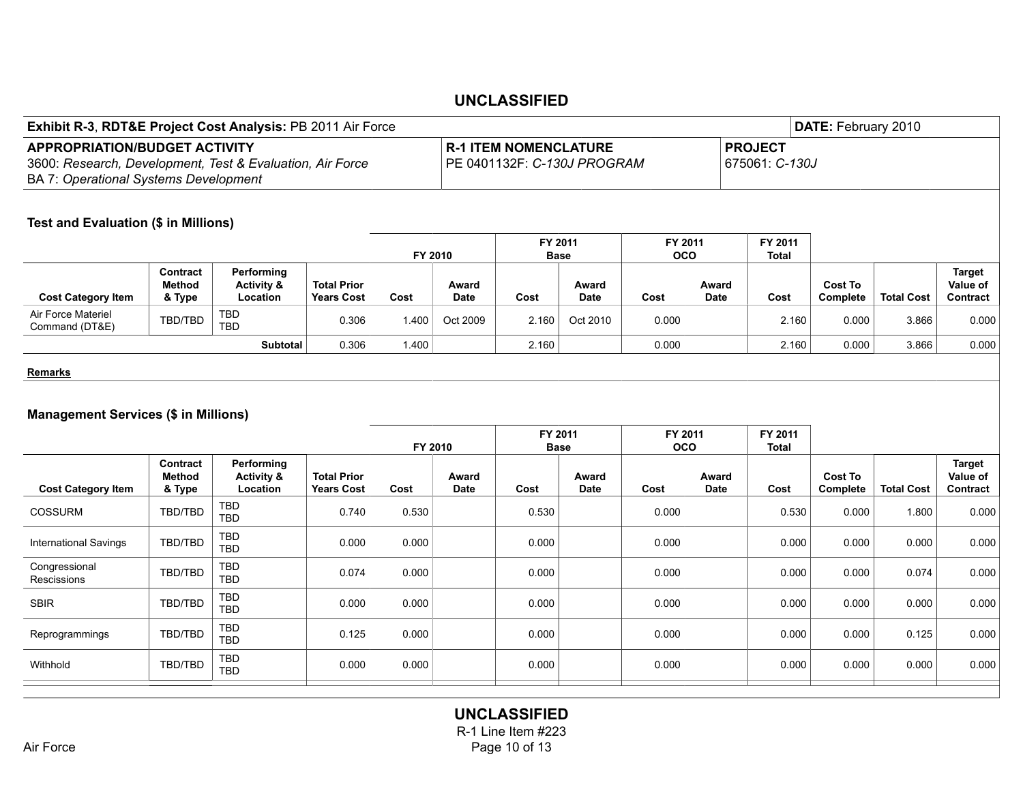| Exhibit R-3, RDT&E Project Cost Analysis: PB 2011 Air Force                                                                                |                                     |                                                 |                                         |                        |                      |                                                             |               |                         |                       |                                  | DATE: February 2010        |                   |                                       |
|--------------------------------------------------------------------------------------------------------------------------------------------|-------------------------------------|-------------------------------------------------|-----------------------------------------|------------------------|----------------------|-------------------------------------------------------------|---------------|-------------------------|-----------------------|----------------------------------|----------------------------|-------------------|---------------------------------------|
| <b>APPROPRIATION/BUDGET ACTIVITY</b><br>3600: Research, Development, Test & Evaluation, Air Force<br>BA 7: Operational Systems Development |                                     |                                                 |                                         |                        |                      | <b>R-1 ITEM NOMENCLATURE</b><br>PE 0401132F: C-130J PROGRAM |               |                         |                       | <b>PROJECT</b><br>675061: C-130J |                            |                   |                                       |
| Test and Evaluation (\$ in Millions)                                                                                                       |                                     |                                                 |                                         |                        |                      |                                                             |               |                         |                       |                                  |                            |                   |                                       |
|                                                                                                                                            |                                     |                                                 |                                         | FY 2010                |                      | FY 2011                                                     | <b>Base</b>   |                         | FY 2011<br><b>OCO</b> | FY 2011<br><b>Total</b>          |                            |                   |                                       |
| <b>Cost Category Item</b>                                                                                                                  | Contract<br>Method<br>& Type        | Performing<br><b>Activity &amp;</b><br>Location | <b>Total Prior</b><br><b>Years Cost</b> | Cost                   | Award<br><b>Date</b> | Cost                                                        | Award<br>Date | Cost                    | Award<br><b>Date</b>  | Cost                             | <b>Cost To</b><br>Complete | <b>Total Cost</b> | <b>Target</b><br>Value of<br>Contract |
| Air Force Materiel<br>Command (DT&E)                                                                                                       | TBD/TBD                             | <b>TBD</b><br><b>TBD</b>                        | 0.306                                   | 1.400                  | Oct 2009             | 2.160                                                       | Oct 2010      | 0.000                   |                       | 2.160                            | 0.000                      | 3.866             | 0.000                                 |
|                                                                                                                                            |                                     | Subtotal                                        | 0.306                                   | 1.400                  |                      | 2.160                                                       |               | 0.000                   |                       | 2.160                            | 0.000                      | 3.866             | 0.000                                 |
| <b>Remarks</b>                                                                                                                             |                                     |                                                 |                                         |                        |                      |                                                             |               |                         |                       |                                  |                            |                   |                                       |
| <b>Management Services (\$ in Millions)</b>                                                                                                |                                     | FY 2010                                         |                                         | FY 2011<br><b>Base</b> |                      | FY 2011<br><b>OCO</b>                                       |               | FY 2011<br><b>Total</b> |                       |                                  |                            |                   |                                       |
| <b>Cost Category Item</b>                                                                                                                  | Contract<br><b>Method</b><br>& Type | Performing<br><b>Activity &amp;</b><br>Location | <b>Total Prior</b><br><b>Years Cost</b> | Cost                   | Award<br><b>Date</b> | Cost                                                        | Award<br>Date | Cost                    | Award<br><b>Date</b>  | Cost                             | <b>Cost To</b><br>Complete | <b>Total Cost</b> | <b>Target</b><br>Value of<br>Contract |
| COSSURM                                                                                                                                    | TBD/TBD                             | <b>TBD</b><br><b>TBD</b>                        | 0.740                                   | 0.530                  |                      | 0.530                                                       |               | 0.000                   |                       | 0.530                            | 0.000                      | 1.800             | 0.000                                 |
| <b>International Savings</b>                                                                                                               | TBD/TBD                             | <b>TBD</b><br><b>TBD</b>                        | 0.000                                   | 0.000                  |                      | 0.000                                                       |               | 0.000                   |                       | 0.000                            | 0.000                      | 0.000             | 0.000                                 |
| Congressional<br>Rescissions                                                                                                               | TBD/TBD                             | <b>TBD</b><br><b>TBD</b>                        | 0.074                                   | 0.000                  |                      | 0.000                                                       |               | 0.000                   |                       | 0.000                            | 0.000                      | 0.074             | 0.000                                 |
| <b>SBIR</b>                                                                                                                                | TBD/TBD                             | <b>TBD</b><br><b>TBD</b>                        | 0.000                                   | 0.000                  |                      | 0.000                                                       |               | 0.000                   |                       | 0.000                            | 0.000                      | 0.000             | 0.000                                 |
| Reprogrammings                                                                                                                             | TBD/TBD                             | <b>TBD</b><br><b>TBD</b>                        | 0.125                                   | 0.000                  |                      | 0.000                                                       |               | 0.000                   |                       | 0.000                            | 0.000                      | 0.125             | 0.000                                 |
| Withhold                                                                                                                                   | TBD/TBD                             | <b>TBD</b><br><b>TBD</b>                        | 0.000                                   | 0.000                  |                      | 0.000                                                       |               | 0.000                   |                       | 0.000                            | 0.000                      | 0.000             | 0.000                                 |
|                                                                                                                                            |                                     |                                                 |                                         |                        |                      |                                                             |               |                         |                       |                                  |                            |                   |                                       |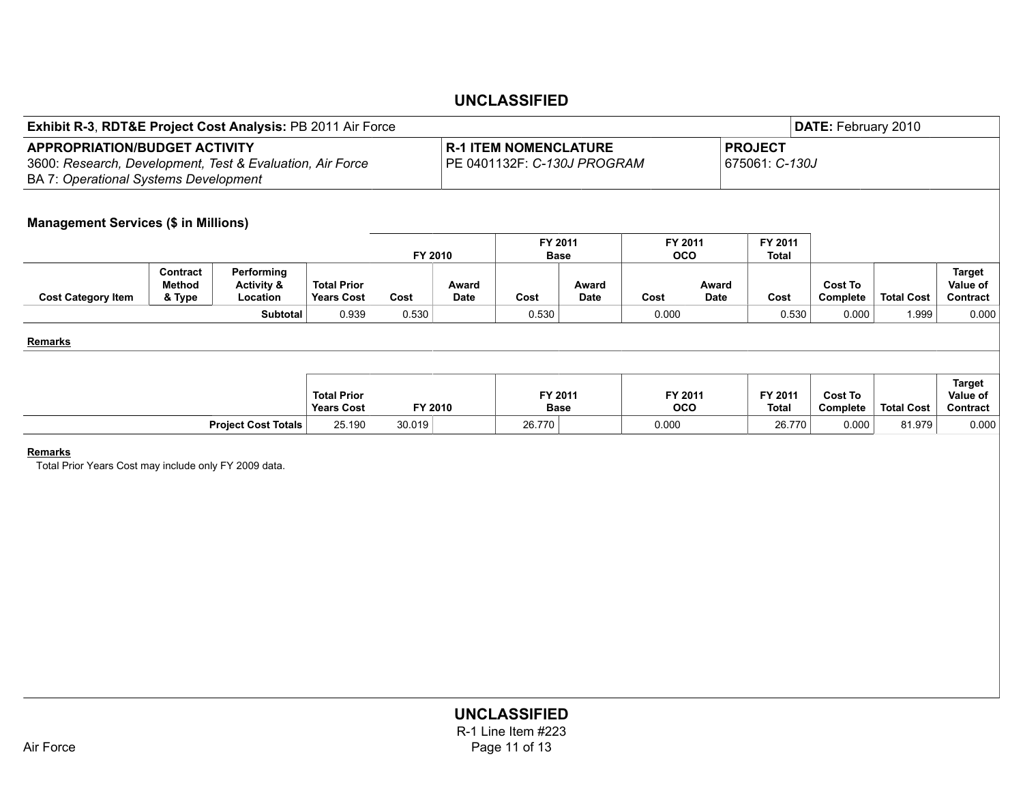| <b>Exhibit R-3, RDT&amp;E Project Cost Analysis: PB 2011 Air Force</b>                                                                            |                              |                                                 |                                         |         |               |                                                             |                      |                       |                      |                                  | DATE: February 2010 |                   |                                       |
|---------------------------------------------------------------------------------------------------------------------------------------------------|------------------------------|-------------------------------------------------|-----------------------------------------|---------|---------------|-------------------------------------------------------------|----------------------|-----------------------|----------------------|----------------------------------|---------------------|-------------------|---------------------------------------|
| <b>APPROPRIATION/BUDGET ACTIVITY</b><br>3600: Research, Development, Test & Evaluation, Air Force<br><b>BA 7: Operational Systems Development</b> |                              |                                                 |                                         |         |               | <b>R-1 ITEM NOMENCLATURE</b><br>PE 0401132F: C-130J PROGRAM |                      |                       |                      | <b>PROJECT</b><br>675061: C-130J |                     |                   |                                       |
| <b>Management Services (\$ in Millions)</b>                                                                                                       |                              |                                                 |                                         |         |               | FY 2011                                                     |                      | FY 2011               |                      | FY 2011                          |                     |                   |                                       |
|                                                                                                                                                   |                              | FY 2010                                         |                                         |         | <b>Base</b>   |                                                             | <b>OCO</b>           |                       | <b>Total</b>         |                                  |                     |                   |                                       |
| <b>Cost Category Item</b>                                                                                                                         | Contract<br>Method<br>& Type | Performing<br><b>Activity &amp;</b><br>Location | <b>Total Prior</b><br><b>Years Cost</b> | Cost    | Award<br>Date | Cost                                                        | Award<br><b>Date</b> | Cost                  | Award<br><b>Date</b> | Cost                             | Cost To<br>Complete | <b>Total Cost</b> | <b>Target</b><br>Value of<br>Contract |
|                                                                                                                                                   |                              | <b>Subtotal</b>                                 | 0.939                                   | 0.530   |               | 0.530                                                       |                      | 0.000                 |                      | 0.530                            | 0.000               | 1.999             | 0.000                                 |
| Remarks                                                                                                                                           |                              |                                                 |                                         |         |               |                                                             |                      |                       |                      |                                  |                     |                   |                                       |
|                                                                                                                                                   |                              |                                                 | <b>Total Prior</b><br><b>Years Cost</b> | FY 2010 |               | FY 2011<br><b>Base</b>                                      |                      | FY 2011<br><b>OCO</b> |                      | FY 2011<br><b>Total</b>          | Cost To<br>Complete | <b>Total Cost</b> | Target<br>Value of<br>Contract        |
|                                                                                                                                                   |                              | <b>Project Cost Totals</b>                      | 25.190                                  | 30.019  |               | 26.770                                                      |                      | 0.000                 |                      | 26.770                           | 0.000               | 81.979            | 0.000                                 |
|                                                                                                                                                   |                              |                                                 |                                         |         |               |                                                             |                      |                       |                      |                                  |                     |                   |                                       |

**Remarks** 

Total Prior Years Cost may include only FY 2009 data.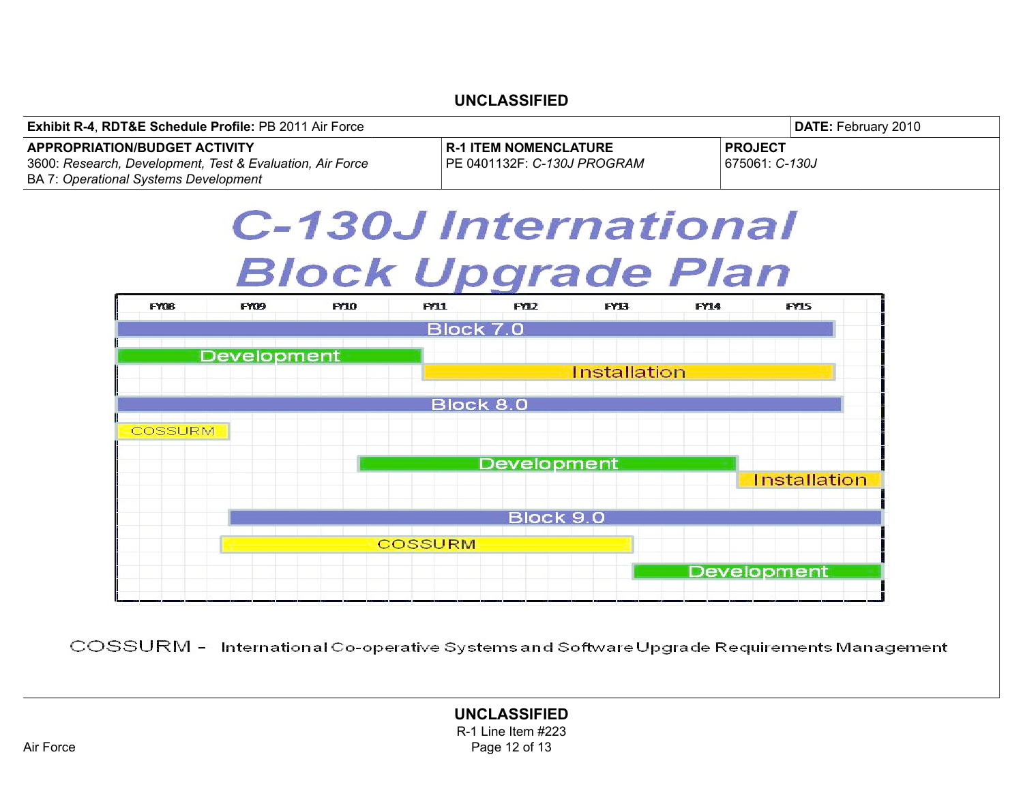

COSSURM - International Co-operative Systems and Software Upgrade Requirements Management

#### UNCLASSIFIED R-1 Line Item #223 Air Force **Page 12 of 13**